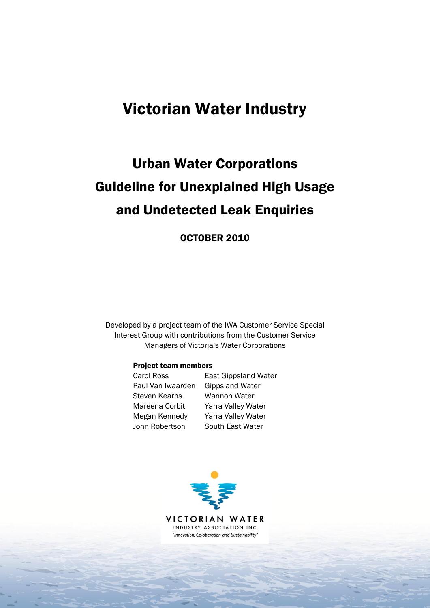# Victorian Water Industry

# Urban Water Corporations Guideline for Unexplained High Usage and Undetected Leak Enquiries

OCTOBER 2010

Developed by a project team of the IWA Customer Service Special Interest Group with contributions from the Customer Service Managers of Victoria's Water Corporations

#### Project team members

| Carol Ross        | <b>East Gippsland Water</b> |
|-------------------|-----------------------------|
| Paul Van Iwaarden | <b>Gippsland Water</b>      |
| Steven Kearns     | Wannon Water                |
| Mareena Corbit    | Yarra Valley Water          |
| Megan Kennedy     | Yarra Valley Water          |
| John Robertson    | South East Water            |

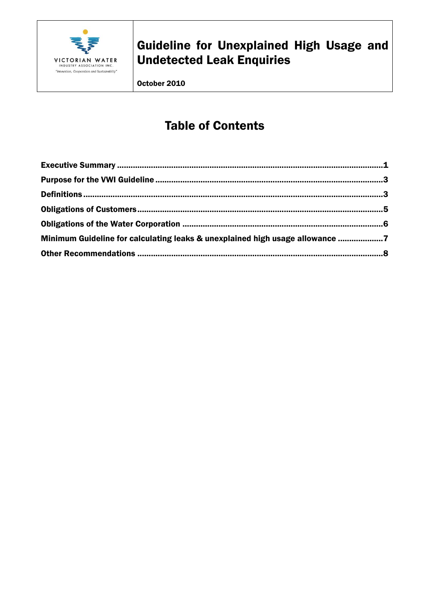

October 2010

# **Table of Contents**

| Minimum Guideline for calculating leaks & unexplained high usage allowance 7 |  |
|------------------------------------------------------------------------------|--|
|                                                                              |  |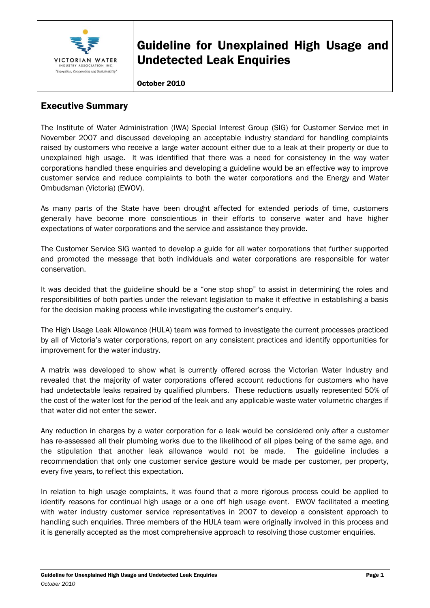

#### October 2010

### <span id="page-2-0"></span>Executive Summary

The Institute of Water Administration (IWA) Special Interest Group (SIG) for Customer Service met in November 2007 and discussed developing an acceptable industry standard for handling complaints raised by customers who receive a large water account either due to a leak at their property or due to unexplained high usage. It was identified that there was a need for consistency in the way water corporations handled these enquiries and developing a guideline would be an effective way to improve customer service and reduce complaints to both the water corporations and the Energy and Water Ombudsman (Victoria) (EWOV).

As many parts of the State have been drought affected for extended periods of time, customers generally have become more conscientious in their efforts to conserve water and have higher expectations of water corporations and the service and assistance they provide.

The Customer Service SIG wanted to develop a guide for all water corporations that further supported and promoted the message that both individuals and water corporations are responsible for water conservation.

It was decided that the guideline should be a "one stop shop" to assist in determining the roles and responsibilities of both parties under the relevant legislation to make it effective in establishing a basis for the decision making process while investigating the customer's enquiry.

The High Usage Leak Allowance (HULA) team was formed to investigate the current processes practiced by all of Victoria's water corporations, report on any consistent practices and identify opportunities for improvement for the water industry.

A matrix was developed to show what is currently offered across the Victorian Water Industry and revealed that the majority of water corporations offered account reductions for customers who have had undetectable leaks repaired by qualified plumbers. These reductions usually represented 50% of the cost of the water lost for the period of the leak and any applicable waste water volumetric charges if that water did not enter the sewer.

Any reduction in charges by a water corporation for a leak would be considered only after a customer has re-assessed all their plumbing works due to the likelihood of all pipes being of the same age, and the stipulation that another leak allowance would not be made. The guideline includes a recommendation that only one customer service gesture would be made per customer, per property, every five years, to reflect this expectation.

In relation to high usage complaints, it was found that a more rigorous process could be applied to identify reasons for continual high usage or a one off high usage event. EWOV facilitated a meeting with water industry customer service representatives in 2007 to develop a consistent approach to handling such enquiries. Three members of the HULA team were originally involved in this process and it is generally accepted as the most comprehensive approach to resolving those customer enquiries.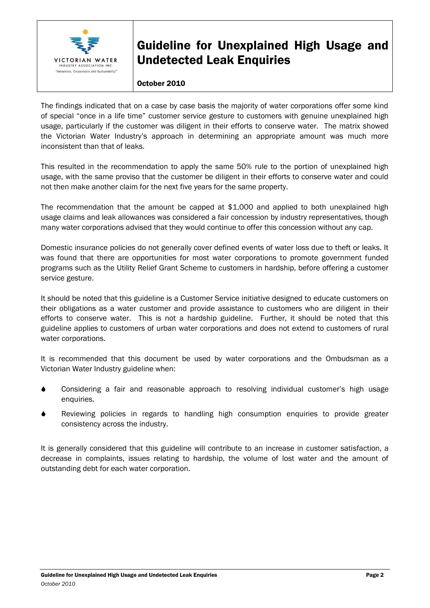

#### October 2010

The findings indicated that on a case by case basis the majority of water corporations offer some kind of special "once in a life time" customer service gesture to customers with genuine unexplained high usage, particularly if the customer was diligent in their efforts to conserve water. The matrix showed the Victorian Water Industry's approach in determining an appropriate amount was much more inconsistent than that of leaks.

This resulted in the recommendation to apply the same 50% rule to the portion of unexplained high usage, with the same proviso that the customer be diligent in their efforts to conserve water and could not then make another claim for the next five years for the same property.

The recommendation that the amount be capped at \$1,000 and applied to both unexplained high usage claims and leak allowances was considered a fair concession by industry representatives, though many water corporations advised that they would continue to offer this concession without any cap.

Domestic insurance policies do not generally cover defined events of water loss due to theft or leaks. It was found that there are opportunities for most water corporations to promote government funded programs such as the Utility Relief Grant Scheme to customers in hardship, before offering a customer service gesture.

It should be noted that this guideline is a Customer Service initiative designed to educate customers on their obligations as a water customer and provide assistance to customers who are diligent in their efforts to conserve water. This is not a hardship guideline. Further, it should be noted that this guideline applies to customers of urban water corporations and does not extend to customers of rural water corporations.

It is recommended that this document be used by water corporations and the Ombudsman as a Victorian Water Industry guideline when:

- Considering a fair and reasonable approach to resolving individual customer's high usage enquiries.
- Reviewing policies in regards to handling high consumption enquiries to provide greater consistency across the industry.

It is generally considered that this guideline will contribute to an increase in customer satisfaction, a decrease in complaints, issues relating to hardship, the volume of lost water and the amount of outstanding debt for each water corporation.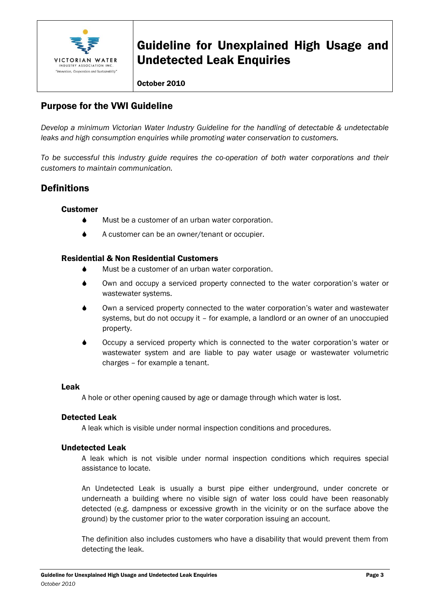

#### October 2010

### <span id="page-4-0"></span>Purpose for the VWI Guideline

*Develop a minimum Victorian Water Industry Guideline for the handling of detectable & undetectable leaks and high consumption enquiries while promoting water conservation to customers.*

*To be successful this industry guide requires the co-operation of both water corporations and their customers to maintain communication.*

### <span id="page-4-1"></span>**Definitions**

#### **Customer**

- Must be a customer of an urban water corporation.
- ◆ A customer can be an owner/tenant or occupier.

#### Residential & Non Residential Customers

- Must be a customer of an urban water corporation.
- Own and occupy a serviced property connected to the water corporation's water or wastewater systems.
- Own a serviced property connected to the water corporation's water and wastewater systems, but do not occupy it – for example, a landlord or an owner of an unoccupied property.
- Occupy a serviced property which is connected to the water corporation's water or wastewater system and are liable to pay water usage or wastewater volumetric charges – for example a tenant.

#### Leak

A hole or other opening caused by age or damage through which water is lost.

#### Detected Leak

A leak which is visible under normal inspection conditions and procedures.

#### Undetected Leak

A leak which is not visible under normal inspection conditions which requires special assistance to locate.

An Undetected Leak is usually a burst pipe either underground, under concrete or underneath a building where no visible sign of water loss could have been reasonably detected (e.g. dampness or excessive growth in the vicinity or on the surface above the ground) by the customer prior to the water corporation issuing an account.

The definition also includes customers who have a disability that would prevent them from detecting the leak.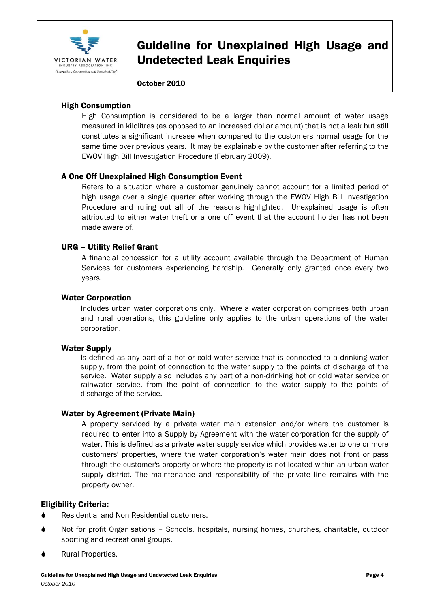

#### October 2010

#### High Consumption

High Consumption is considered to be a larger than normal amount of water usage measured in kilolitres (as opposed to an increased dollar amount) that is not a leak but still constitutes a significant increase when compared to the customers normal usage for the same time over previous years. It may be explainable by the customer after referring to the EWOV High Bill Investigation Procedure (February 2009).

#### A One Off Unexplained High Consumption Event

Refers to a situation where a customer genuinely cannot account for a limited period of high usage over a single quarter after working through the EWOV High Bill Investigation Procedure and ruling out all of the reasons highlighted. Unexplained usage is often attributed to either water theft or a one off event that the account holder has not been made aware of.

#### URG – Utility Relief Grant

A financial concession for a utility account available through the Department of Human Services for customers experiencing hardship. Generally only granted once every two years.

#### Water Corporation

Includes urban water corporations only. Where a water corporation comprises both urban and rural operations, this guideline only applies to the urban operations of the water corporation.

#### Water Supply

Is defined as any part of a hot or cold water service that is connected to a drinking water supply, from the point of connection to the water supply to the points of discharge of the service. Water supply also includes any part of a non-drinking hot or cold water service or rainwater service, from the point of connection to the water supply to the points of discharge of the service.

#### Water by Agreement (Private Main)

A property serviced by a private water main extension and/or where the customer is required to enter into a Supply by Agreement with the water corporation for the supply of water. This is defined as a private water supply service which provides water to one or more customers' properties, where the water corporation's water main does not front or pass through the customer's property or where the property is not located within an urban water supply district. The maintenance and responsibility of the private line remains with the property owner.

#### Eligibility Criteria:

- Residential and Non Residential customers.
- Not for profit Organisations Schools, hospitals, nursing homes, churches, charitable, outdoor sporting and recreational groups.
- Rural Properties.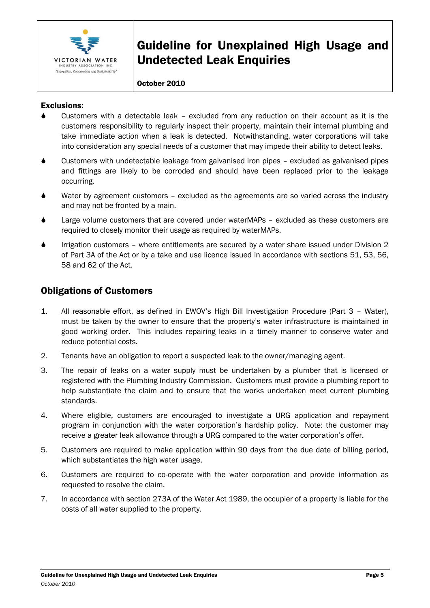

#### October 2010

#### Exclusions:

- Customers with a detectable leak excluded from any reduction on their account as it is the customers responsibility to regularly inspect their property, maintain their internal plumbing and take immediate action when a leak is detected. Notwithstanding, water corporations will take into consideration any special needs of a customer that may impede their ability to detect leaks.
- Customers with undetectable leakage from galvanised iron pipes excluded as galvanised pipes and fittings are likely to be corroded and should have been replaced prior to the leakage occurring.
- Water by agreement customers excluded as the agreements are so varied across the industry and may not be fronted by a main.
- Large volume customers that are covered under waterMAPs excluded as these customers are required to closely monitor their usage as required by waterMAPs.
- Irrigation customers where entitlements are secured by a water share issued under Division 2 of Part 3A of the Act or by a take and use licence issued in accordance with sections 51, 53, 56, 58 and 62 of the Act.

### <span id="page-6-0"></span>Obligations of Customers

- 1. All reasonable effort, as defined in EWOV's High Bill Investigation Procedure (Part 3 Water), must be taken by the owner to ensure that the property's water infrastructure is maintained in good working order. This includes repairing leaks in a timely manner to conserve water and reduce potential costs.
- 2. Tenants have an obligation to report a suspected leak to the owner/managing agent.
- 3. The repair of leaks on a water supply must be undertaken by a plumber that is licensed or registered with the Plumbing Industry Commission. Customers must provide a plumbing report to help substantiate the claim and to ensure that the works undertaken meet current plumbing standards.
- 4. Where eligible, customers are encouraged to investigate a URG application and repayment program in conjunction with the water corporation's hardship policy. Note: the customer may receive a greater leak allowance through a URG compared to the water corporation's offer.
- 5. Customers are required to make application within 90 days from the due date of billing period, which substantiates the high water usage.
- 6. Customers are required to co-operate with the water corporation and provide information as requested to resolve the claim.
- 7. In accordance with section 273A of the Water Act 1989, the occupier of a property is liable for the costs of all water supplied to the property.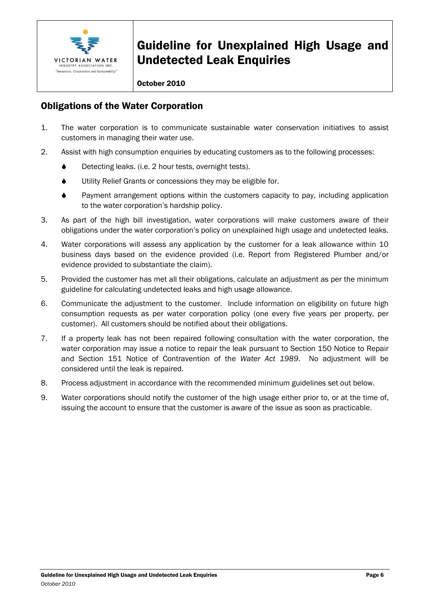

#### October 2010

### <span id="page-7-0"></span>Obligations of the Water Corporation

- 1. The water corporation is to communicate sustainable water conservation initiatives to assist customers in managing their water use.
- 2. Assist with high consumption enquiries by educating customers as to the following processes:
	- ♦ Detecting leaks. (i.e. 2 hour tests, overnight tests).
	- Utility Relief Grants or concessions they may be eligible for.
	- Payment arrangement options within the customers capacity to pay, including application to the water corporation's hardship policy.
- 3. As part of the high bill investigation, water corporations will make customers aware of their obligations under the water corporation's policy on unexplained high usage and undetected leaks.
- 4. Water corporations will assess any application by the customer for a leak allowance within 10 business days based on the evidence provided (i.e. Report from Registered Plumber and/or evidence provided to substantiate the claim).
- 5. Provided the customer has met all their obligations, calculate an adjustment as per the minimum guideline for calculating undetected leaks and high usage allowance.
- 6. Communicate the adjustment to the customer. Include information on eligibility on future high consumption requests as per water corporation policy (one every five years per property, per customer). All customers should be notified about their obligations.
- 7. If a property leak has not been repaired following consultation with the water corporation, the water corporation may issue a notice to repair the leak pursuant to Section 150 Notice to Repair and Section 151 Notice of Contravention of the *Water Act 1989*. No adjustment will be considered until the leak is repaired.
- 8. Process adjustment in accordance with the recommended minimum guidelines set out below.
- 9. Water corporations should notify the customer of the high usage either prior to, or at the time of, issuing the account to ensure that the customer is aware of the issue as soon as practicable.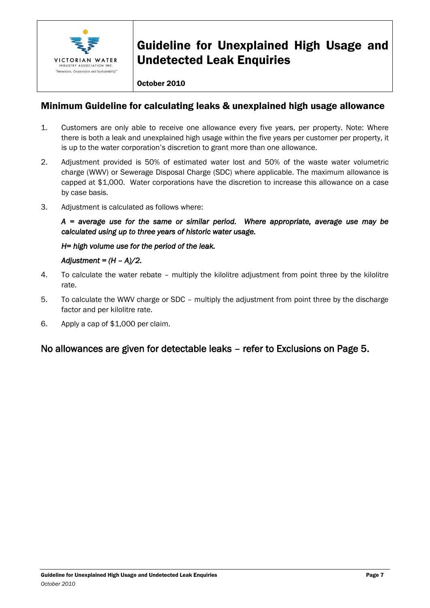

#### October 2010

### <span id="page-8-0"></span>Minimum Guideline for calculating leaks & unexplained high usage allowance

- 1. Customers are only able to receive one allowance every five years, per property. Note: Where there is both a leak and unexplained high usage within the five years per customer per property, it is up to the water corporation's discretion to grant more than one allowance.
- 2. Adjustment provided is 50% of estimated water lost and 50% of the waste water volumetric charge (WWV) or Sewerage Disposal Charge (SDC) where applicable. The maximum allowance is capped at \$1,000. Water corporations have the discretion to increase this allowance on a case by case basis.
- 3. Adjustment is calculated as follows where:

*A = average use for the same or similar period. Where appropriate, average use may be calculated using up to three years of historic water usage.* 

*H= high volume use for the period of the leak.* 

#### *Adjustment = (H – A)/2.*

- 4. To calculate the water rebate multiply the kilolitre adjustment from point three by the kilolitre rate.
- 5. To calculate the WWV charge or SDC multiply the adjustment from point three by the discharge factor and per kilolitre rate.
- 6. Apply a cap of \$1,000 per claim.

### No allowances are given for detectable leaks – refer to Exclusions on Page 5.